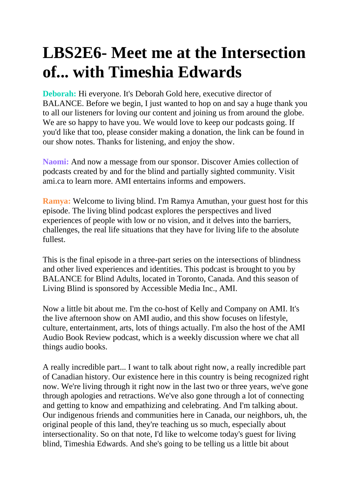## **LBS2E6- Meet me at the Intersection of... with Timeshia Edwards**

**Deborah:** Hi everyone. It's Deborah Gold here, executive director of BALANCE. Before we begin, I just wanted to hop on and say a huge thank you to all our listeners for loving our content and joining us from around the globe. We are so happy to have you. We would love to keep our podcasts going. If you'd like that too, please consider making a donation, the link can be found in our show notes. Thanks for listening, and enjoy the show.

**Naomi:** And now a message from our sponsor. Discover Amies collection of podcasts created by and for the blind and partially sighted community. Visit ami.ca to learn more. AMI entertains informs and empowers.

**Ramya:** Welcome to living blind. I'm Ramya Amuthan, your guest host for this episode. The living blind podcast explores the perspectives and lived experiences of people with low or no vision, and it delves into the barriers, challenges, the real life situations that they have for living life to the absolute fullest.

This is the final episode in a three-part series on the intersections of blindness and other lived experiences and identities. This podcast is brought to you by BALANCE for Blind Adults, located in Toronto, Canada. And this season of Living Blind is sponsored by Accessible Media Inc., AMI.

Now a little bit about me. I'm the co-host of Kelly and Company on AMI. It's the live afternoon show on AMI audio, and this show focuses on lifestyle, culture, entertainment, arts, lots of things actually. I'm also the host of the AMI Audio Book Review podcast, which is a weekly discussion where we chat all things audio books.

A really incredible part... I want to talk about right now, a really incredible part of Canadian history. Our existence here in this country is being recognized right now. We're living through it right now in the last two or three years, we've gone through apologies and retractions. We've also gone through a lot of connecting and getting to know and empathizing and celebrating. And I'm talking about. Our indigenous friends and communities here in Canada, our neighbors, uh, the original people of this land, they're teaching us so much, especially about intersectionality. So on that note, I'd like to welcome today's guest for living blind, Timeshia Edwards. And she's going to be telling us a little bit about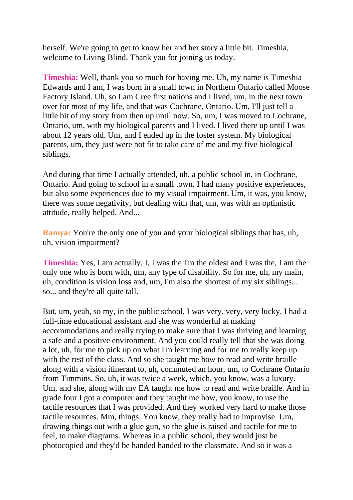herself. We're going to get to know her and her story a little bit. Timeshia, welcome to Living Blind. Thank you for joining us today.

**Timeshia:** Well, thank you so much for having me. Uh, my name is Timeshia Edwards and I am, I was born in a small town in Northern Ontario called Moose Factory Island. Uh, so I am Cree first nations and I lived, um, in the next town over for most of my life, and that was Cochrane, Ontario. Um, I'll just tell a little bit of my story from then up until now. So, um, I was moved to Cochrane, Ontario, um, with my biological parents and I lived. I lived there up until I was about 12 years old. Um, and I ended up in the foster system. My biological parents, um, they just were not fit to take care of me and my five biological siblings.

And during that time I actually attended, uh, a public school in, in Cochrane, Ontario. And going to school in a small town. I had many positive experiences, but also some experiences due to my visual impairment. Um, it was, you know, there was some negativity, but dealing with that, um, was with an optimistic attitude, really helped. And...

**Ramya:** You're the only one of you and your biological siblings that has, uh, uh, vision impairment?

**Timeshia:** Yes, I am actually, I, I was the I'm the oldest and I was the, I am the only one who is born with, um, any type of disability. So for me, uh, my main, uh, condition is vision loss and, um, I'm also the shortest of my six siblings... so... and they're all quite tall.

But, um, yeah, so my, in the public school, I was very, very, very lucky. I had a full-time educational assistant and she was wonderful at making accommodations and really trying to make sure that I was thriving and learning a safe and a positive environment. And you could really tell that she was doing a lot, uh, for me to pick up on what I'm learning and for me to really keep up with the rest of the class. And so she taught me how to read and write braille along with a vision itinerant to, uh, commuted an hour, um, to Cochrane Ontario from Timmins. So, uh, it was twice a week, which, you know, was a luxury. Um, and she, along with my EA taught me how to read and write braille. And in grade four I got a computer and they taught me how, you know, to use the tactile resources that I was provided. And they worked very hard to make those tactile resources. Mm, things. You know, they really had to improvise. Um, drawing things out with a glue gun, so the glue is raised and tactile for me to feel, to make diagrams. Whereas in a public school, they would just be photocopied and they'd be handed handed to the classmate. And so it was a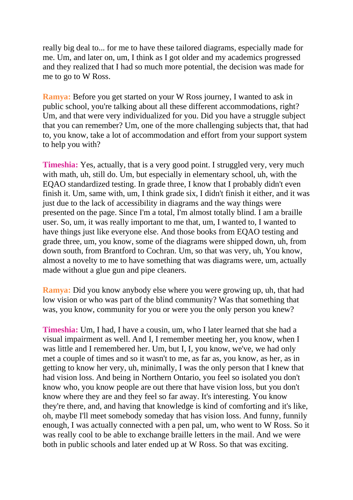really big deal to... for me to have these tailored diagrams, especially made for me. Um, and later on, um, I think as I got older and my academics progressed and they realized that I had so much more potential, the decision was made for me to go to W Ross.

**Ramya:** Before you get started on your W Ross journey, I wanted to ask in public school, you're talking about all these different accommodations, right? Um, and that were very individualized for you. Did you have a struggle subject that you can remember? Um, one of the more challenging subjects that, that had to, you know, take a lot of accommodation and effort from your support system to help you with?

**Timeshia:** Yes, actually, that is a very good point. I struggled very, very much with math, uh, still do. Um, but especially in elementary school, uh, with the EQAO standardized testing. In grade three, I know that I probably didn't even finish it. Um, same with, um, I think grade six, I didn't finish it either, and it was just due to the lack of accessibility in diagrams and the way things were presented on the page. Since I'm a total, I'm almost totally blind. I am a braille user. So, um, it was really important to me that, um, I wanted to, I wanted to have things just like everyone else. And those books from EQAO testing and grade three, um, you know, some of the diagrams were shipped down, uh, from down south, from Brantford to Cochran. Um, so that was very, uh, You know, almost a novelty to me to have something that was diagrams were, um, actually made without a glue gun and pipe cleaners.

**Ramya:** Did you know anybody else where you were growing up, uh, that had low vision or who was part of the blind community? Was that something that was, you know, community for you or were you the only person you knew?

**Timeshia:** Um, I had, I have a cousin, um, who I later learned that she had a visual impairment as well. And I, I remember meeting her, you know, when I was little and I remembered her. Um, but I, I, you know, we've, we had only met a couple of times and so it wasn't to me, as far as, you know, as her, as in getting to know her very, uh, minimally, I was the only person that I knew that had vision loss. And being in Northern Ontario, you feel so isolated you don't know who, you know people are out there that have vision loss, but you don't know where they are and they feel so far away. It's interesting. You know they're there, and, and having that knowledge is kind of comforting and it's like, oh, maybe I'll meet somebody someday that has vision loss. And funny, funnily enough, I was actually connected with a pen pal, um, who went to W Ross. So it was really cool to be able to exchange braille letters in the mail. And we were both in public schools and later ended up at W Ross. So that was exciting.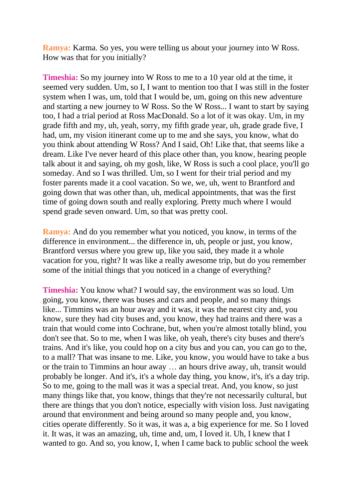**Ramya:** Karma. So yes, you were telling us about your journey into W Ross. How was that for you initially?

**Timeshia:** So my journey into W Ross to me to a 10 year old at the time, it seemed very sudden. Um, so I, I want to mention too that I was still in the foster system when I was, um, told that I would be, um, going on this new adventure and starting a new journey to W Ross. So the W Ross... I want to start by saying too, I had a trial period at Ross MacDonald. So a lot of it was okay. Um, in my grade fifth and my, uh, yeah, sorry, my fifth grade year, uh, grade grade five, I had, um, my vision itinerant come up to me and she says, you know, what do you think about attending W Ross? And I said, Oh! Like that, that seems like a dream. Like I've never heard of this place other than, you know, hearing people talk about it and saying, oh my gosh, like, W Ross is such a cool place, you'll go someday. And so I was thrilled. Um, so I went for their trial period and my foster parents made it a cool vacation. So we, we, uh, went to Brantford and going down that was other than, uh, medical appointments, that was the first time of going down south and really exploring. Pretty much where I would spend grade seven onward. Um, so that was pretty cool.

**Ramya:** And do you remember what you noticed, you know, in terms of the difference in environment... the difference in, uh, people or just, you know, Brantford versus where you grew up, like you said, they made it a whole vacation for you, right? It was like a really awesome trip, but do you remember some of the initial things that you noticed in a change of everything?

**Timeshia:** You know what? I would say, the environment was so loud. Um going, you know, there was buses and cars and people, and so many things like... Timmins was an hour away and it was, it was the nearest city and, you know, sure they had city buses and, you know, they had trains and there was a train that would come into Cochrane, but, when you're almost totally blind, you don't see that. So to me, when I was like, oh yeah, there's city buses and there's trains. And it's like, you could hop on a city bus and you can, you can go to the, to a mall? That was insane to me. Like, you know, you would have to take a bus or the train to Timmins an hour away … an hours drive away, uh, transit would probably be longer. And it's, it's a whole day thing, you know, it's, it's a day trip. So to me, going to the mall was it was a special treat. And, you know, so just many things like that, you know, things that they're not necessarily cultural, but there are things that you don't notice, especially with vision loss. Just navigating around that environment and being around so many people and, you know, cities operate differently. So it was, it was a, a big experience for me. So I loved it. It was, it was an amazing, uh, time and, um, I loved it. Uh, I knew that I wanted to go. And so, you know, I, when I came back to public school the week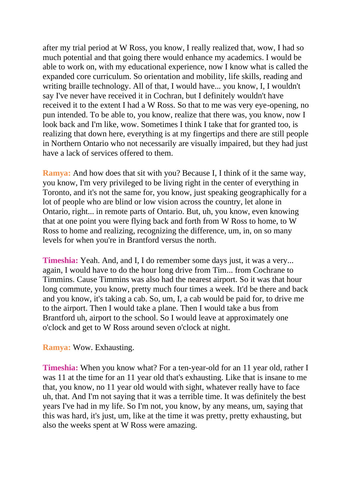after my trial period at W Ross, you know, I really realized that, wow, I had so much potential and that going there would enhance my academics. I would be able to work on, with my educational experience, now I know what is called the expanded core curriculum. So orientation and mobility, life skills, reading and writing braille technology. All of that, I would have... you know, I, I wouldn't say I've never have received it in Cochran, but I definitely wouldn't have received it to the extent I had a W Ross. So that to me was very eye-opening, no pun intended. To be able to, you know, realize that there was, you know, now I look back and I'm like, wow. Sometimes I think I take that for granted too, is realizing that down here, everything is at my fingertips and there are still people in Northern Ontario who not necessarily are visually impaired, but they had just have a lack of services offered to them.

**Ramya:** And how does that sit with you? Because I, I think of it the same way, you know, I'm very privileged to be living right in the center of everything in Toronto, and it's not the same for, you know, just speaking geographically for a lot of people who are blind or low vision across the country, let alone in Ontario, right... in remote parts of Ontario. But, uh, you know, even knowing that at one point you were flying back and forth from W Ross to home, to W Ross to home and realizing, recognizing the difference, um, in, on so many levels for when you're in Brantford versus the north.

**Timeshia:** Yeah. And, and I, I do remember some days just, it was a very... again, I would have to do the hour long drive from Tim... from Cochrane to Timmins. Cause Timmins was also had the nearest airport. So it was that hour long commute, you know, pretty much four times a week. It'd be there and back and you know, it's taking a cab. So, um, I, a cab would be paid for, to drive me to the airport. Then I would take a plane. Then I would take a bus from Brantford uh, airport to the school. So I would leave at approximately one o'clock and get to W Ross around seven o'clock at night.

## **Ramya:** Wow. Exhausting.

**Timeshia:** When you know what? For a ten-year-old for an 11 year old, rather I was 11 at the time for an 11 year old that's exhausting. Like that is insane to me that, you know, no 11 year old would with sight, whatever really have to face uh, that. And I'm not saying that it was a terrible time. It was definitely the best years I've had in my life. So I'm not, you know, by any means, um, saying that this was hard, it's just, um, like at the time it was pretty, pretty exhausting, but also the weeks spent at W Ross were amazing.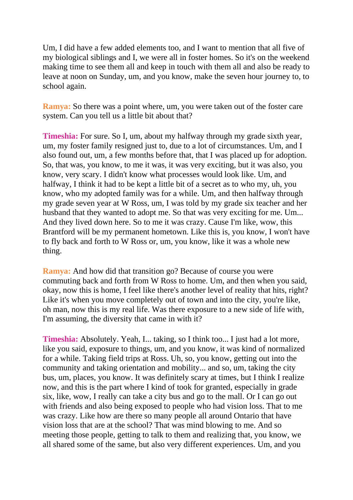Um, I did have a few added elements too, and I want to mention that all five of my biological siblings and I, we were all in foster homes. So it's on the weekend making time to see them all and keep in touch with them all and also be ready to leave at noon on Sunday, um, and you know, make the seven hour journey to, to school again.

**Ramya:** So there was a point where, um, you were taken out of the foster care system. Can you tell us a little bit about that?

**Timeshia:** For sure. So I, um, about my halfway through my grade sixth year, um, my foster family resigned just to, due to a lot of circumstances. Um, and I also found out, um, a few months before that, that I was placed up for adoption. So, that was, you know, to me it was, it was very exciting, but it was also, you know, very scary. I didn't know what processes would look like. Um, and halfway, I think it had to be kept a little bit of a secret as to who my, uh, you know, who my adopted family was for a while. Um, and then halfway through my grade seven year at W Ross, um, I was told by my grade six teacher and her husband that they wanted to adopt me. So that was very exciting for me. Um... And they lived down here. So to me it was crazy. Cause I'm like, wow, this Brantford will be my permanent hometown. Like this is, you know, I won't have to fly back and forth to W Ross or, um, you know, like it was a whole new thing.

**Ramya:** And how did that transition go? Because of course you were commuting back and forth from W Ross to home. Um, and then when you said, okay, now this is home, I feel like there's another level of reality that hits, right? Like it's when you move completely out of town and into the city, you're like, oh man, now this is my real life. Was there exposure to a new side of life with, I'm assuming, the diversity that came in with it?

**Timeshia:** Absolutely. Yeah, I... taking, so I think too... I just had a lot more, like you said, exposure to things, um, and you know, it was kind of normalized for a while. Taking field trips at Ross. Uh, so, you know, getting out into the community and taking orientation and mobility... and so, um, taking the city bus, um, places, you know. It was definitely scary at times, but I think I realize now, and this is the part where I kind of took for granted, especially in grade six, like, wow, I really can take a city bus and go to the mall. Or I can go out with friends and also being exposed to people who had vision loss. That to me was crazy. Like how are there so many people all around Ontario that have vision loss that are at the school? That was mind blowing to me. And so meeting those people, getting to talk to them and realizing that, you know, we all shared some of the same, but also very different experiences. Um, and you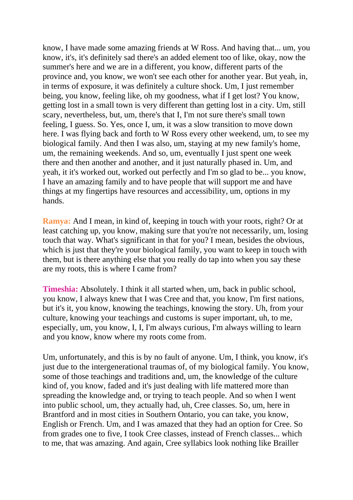know, I have made some amazing friends at W Ross. And having that... um, you know, it's, it's definitely sad there's an added element too of like, okay, now the summer's here and we are in a different, you know, different parts of the province and, you know, we won't see each other for another year. But yeah, in, in terms of exposure, it was definitely a culture shock. Um, I just remember being, you know, feeling like, oh my goodness, what if I get lost? You know, getting lost in a small town is very different than getting lost in a city. Um, still scary, nevertheless, but, um, there's that I, I'm not sure there's small town feeling, I guess. So. Yes, once I, um, it was a slow transition to move down here. I was flying back and forth to W Ross every other weekend, um, to see my biological family. And then I was also, um, staying at my new family's home, um, the remaining weekends. And so, um, eventually I just spent one week there and then another and another, and it just naturally phased in. Um, and yeah, it it's worked out, worked out perfectly and I'm so glad to be... you know, I have an amazing family and to have people that will support me and have things at my fingertips have resources and accessibility, um, options in my hands.

**Ramya:** And I mean, in kind of, keeping in touch with your roots, right? Or at least catching up, you know, making sure that you're not necessarily, um, losing touch that way. What's significant in that for you? I mean, besides the obvious, which is just that they're your biological family, you want to keep in touch with them, but is there anything else that you really do tap into when you say these are my roots, this is where I came from?

**Timeshia:** Absolutely. I think it all started when, um, back in public school, you know, I always knew that I was Cree and that, you know, I'm first nations, but it's it, you know, knowing the teachings, knowing the story. Uh, from your culture, knowing your teachings and customs is super important, uh, to me, especially, um, you know, I, I, I'm always curious, I'm always willing to learn and you know, know where my roots come from.

Um, unfortunately, and this is by no fault of anyone. Um, I think, you know, it's just due to the intergenerational traumas of, of my biological family. You know, some of those teachings and traditions and, um, the knowledge of the culture kind of, you know, faded and it's just dealing with life mattered more than spreading the knowledge and, or trying to teach people. And so when I went into public school, um, they actually had, uh, Cree classes. So, um, here in Brantford and in most cities in Southern Ontario, you can take, you know, English or French. Um, and I was amazed that they had an option for Cree. So from grades one to five, I took Cree classes, instead of French classes... which to me, that was amazing. And again, Cree syllabics look nothing like Brailler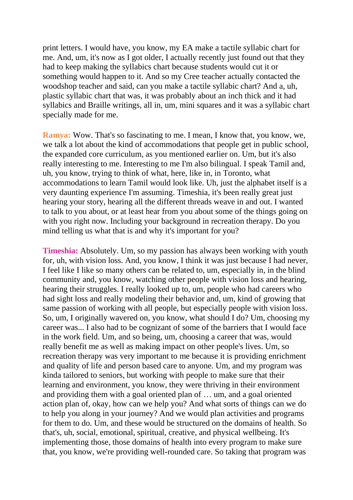print letters. I would have, you know, my EA make a tactile syllabic chart for me. And, um, it's now as I got older, I actually recently just found out that they had to keep making the syllabics chart because students would cut it or something would happen to it. And so my Cree teacher actually contacted the woodshop teacher and said, can you make a tactile syllabic chart? And a, uh, plastic syllabic chart that was, it was probably about an inch thick and it had syllabics and Braille writings, all in, um, mini squares and it was a syllabic chart specially made for me.

**Ramya:** Wow. That's so fascinating to me. I mean, I know that, you know, we, we talk a lot about the kind of accommodations that people get in public school, the expanded core curriculum, as you mentioned earlier on. Um, but it's also really interesting to me. Interesting to me I'm also bilingual. I speak Tamil and, uh, you know, trying to think of what, here, like in, in Toronto, what accommodations to learn Tamil would look like. Uh, just the alphabet itself is a very daunting experience I'm assuming. Timeshia, it's been really great just hearing your story, hearing all the different threads weave in and out. I wanted to talk to you about, or at least hear from you about some of the things going on with you right now. Including your background in recreation therapy. Do you mind telling us what that is and why it's important for you?

**Timeshia:** Absolutely. Um, so my passion has always been working with youth for, uh, with vision loss. And, you know, I think it was just because I had never, I feel like I like so many others can be related to, um, especially in, in the blind community and, you know, watching other people with vision loss and hearing, hearing their struggles. I really looked up to, um, people who had careers who had sight loss and really modeling their behavior and, um, kind of growing that same passion of working with all people, but especially people with vision loss. So, um, I originally wavered on, you know, what should I do? Um, choosing my career was... I also had to be cognizant of some of the barriers that I would face in the work field. Um, and so being, um, choosing a career that was, would really benefit me as well as making impact on other people's lives. Um, so recreation therapy was very important to me because it is providing enrichment and quality of life and person based care to anyone. Um, and my program was kinda tailored to seniors, but working with people to make sure that their learning and environment, you know, they were thriving in their environment and providing them with a goal oriented plan of … um, and a goal oriented action plan of, okay, how can we help you? And what sorts of things can we do to help you along in your journey? And we would plan activities and programs for them to do. Um, and these would be structured on the domains of health. So that's, uh, social, emotional, spiritual, creative, and physical wellbeing. It's implementing those, those domains of health into every program to make sure that, you know, we're providing well-rounded care. So taking that program was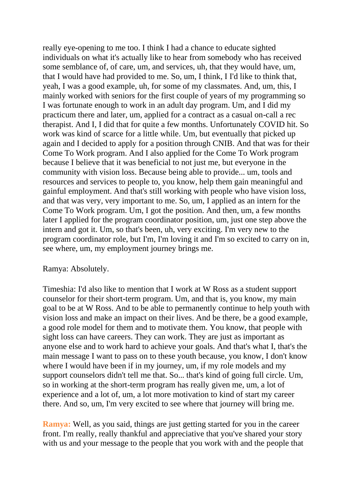really eye-opening to me too. I think I had a chance to educate sighted individuals on what it's actually like to hear from somebody who has received some semblance of, of care, um, and services, uh, that they would have, um, that I would have had provided to me. So, um, I think, I I'd like to think that, yeah, I was a good example, uh, for some of my classmates. And, um, this, I mainly worked with seniors for the first couple of years of my programming so I was fortunate enough to work in an adult day program. Um, and I did my practicum there and later, um, applied for a contract as a casual on-call a rec therapist. And I, I did that for quite a few months. Unfortunately COVID hit. So work was kind of scarce for a little while. Um, but eventually that picked up again and I decided to apply for a position through CNIB. And that was for their Come To Work program. And I also applied for the Come To Work program because I believe that it was beneficial to not just me, but everyone in the community with vision loss. Because being able to provide... um, tools and resources and services to people to, you know, help them gain meaningful and gainful employment. And that's still working with people who have vision loss, and that was very, very important to me. So, um, I applied as an intern for the Come To Work program. Um, I got the position. And then, um, a few months later I applied for the program coordinator position, um, just one step above the intern and got it. Um, so that's been, uh, very exciting. I'm very new to the program coordinator role, but I'm, I'm loving it and I'm so excited to carry on in, see where, um, my employment journey brings me.

## Ramya: Absolutely.

Timeshia: I'd also like to mention that I work at W Ross as a student support counselor for their short-term program. Um, and that is, you know, my main goal to be at W Ross. And to be able to permanently continue to help youth with vision loss and make an impact on their lives. And be there, be a good example, a good role model for them and to motivate them. You know, that people with sight loss can have careers. They can work. They are just as important as anyone else and to work hard to achieve your goals. And that's what I, that's the main message I want to pass on to these youth because, you know, I don't know where I would have been if in my journey, um, if my role models and my support counselors didn't tell me that. So... that's kind of going full circle. Um, so in working at the short-term program has really given me, um, a lot of experience and a lot of, um, a lot more motivation to kind of start my career there. And so, um, I'm very excited to see where that journey will bring me.

**Ramya:** Well, as you said, things are just getting started for you in the career front. I'm really, really thankful and appreciative that you've shared your story with us and your message to the people that you work with and the people that